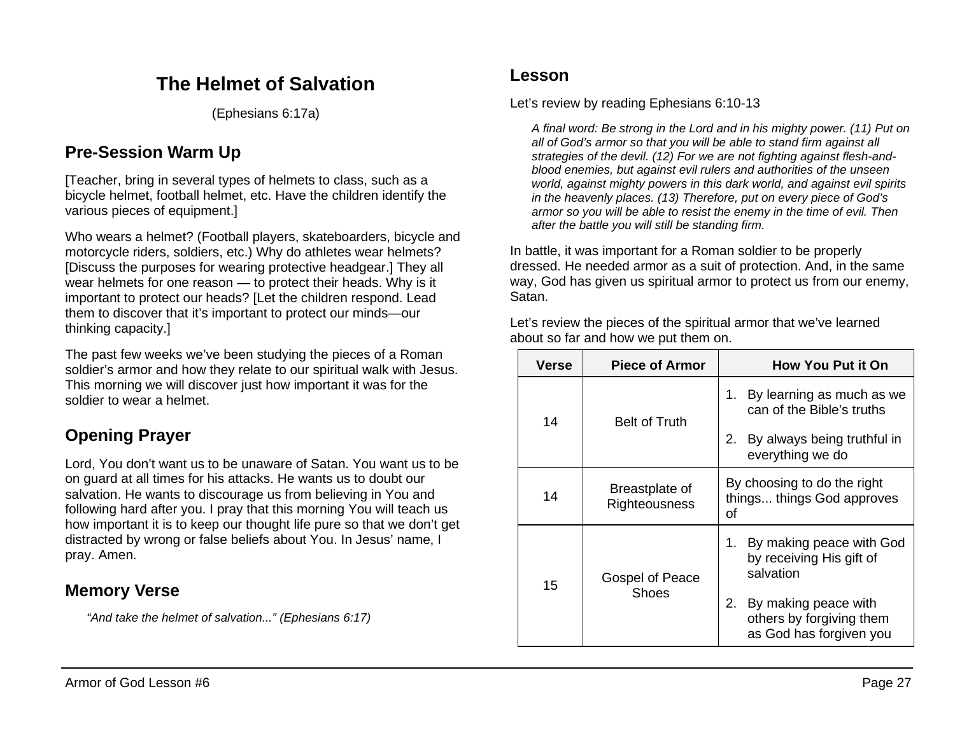# **The Helmet of Salvation**

(Ephesians 6:17a)

# **Pre-Session Warm Up**

[Teacher, bring in several types of helmets to class, such as a bicycle helmet, football helmet, etc. Have the children identify the various pieces of equipment.]

Who wears a helmet? (Football players, skateboarders, bicycle and motorcycle riders, soldiers, etc.) Why do athletes wear helmets? [Discuss the purposes for wearing protective headgear.] They all wear helmets for one reason — to protect their heads. Why is it important to protect our heads? [Let the children respond. Lead them to discover that it's important to protect our minds—our thinking capacity.]

The past few weeks we've been studying the pieces of a Roman soldier's armor and how they relate to our spiritual walk with Jesus. This morning we will discover just how important it was for the soldier to wear a helmet.

# **Opening Prayer**

Lord, You don't want us to be unaware of Satan. You want us to be on guard at all times for his attacks. He wants us to doubt our salvation. He wants to discourage us from believing in You and following hard after you. I pray that this morning You will teach us how important it is to keep our thought life pure so that we don't get distracted by wrong or false beliefs about You. In Jesus' name, I pray. Amen.

### **Memory Verse**

*"And take the helmet of salvation..." (Ephesians 6:17)*

### **Lesson**

Let's review by reading Ephesians 6:10-13

*A final word: Be strong in the Lord and in his mighty power. (11) Put on all of God's armor so that you will be able to stand firm against all strategies of the devil. (12) For we are not fighting against flesh-andblood enemies, but against evil rulers and authorities of the unseen world, against mighty powers in this dark world, and against evil spirits in the heavenly places. (13) Therefore, put on every piece of God's armor so you will be able to resist the enemy in the time of evil. Then after the battle you will still be standing firm.*

In battle, it was important for a Roman soldier to be properly dressed. He needed armor as a suit of protection. And, in the same way, God has given us spiritual armor to protect us from our enemy, Satan.

Let's review the pieces of the spiritual armor that we've learned about so far and how we put them on.

| Verse | <b>Piece of Armor</b>           | <b>How You Put it On</b>                                                                                                                                     |
|-------|---------------------------------|--------------------------------------------------------------------------------------------------------------------------------------------------------------|
| 14    | <b>Belt of Truth</b>            | By learning as much as we<br>1.<br>can of the Bible's truths<br>By always being truthful in<br>2.<br>everything we do                                        |
| 14    | Breastplate of<br>Righteousness | By choosing to do the right<br>things things God approves<br>οf                                                                                              |
| 15    | Gospel of Peace<br>Shoes        | By making peace with God<br>1.<br>by receiving His gift of<br>salvation<br>By making peace with<br>2.<br>others by forgiving them<br>as God has forgiven you |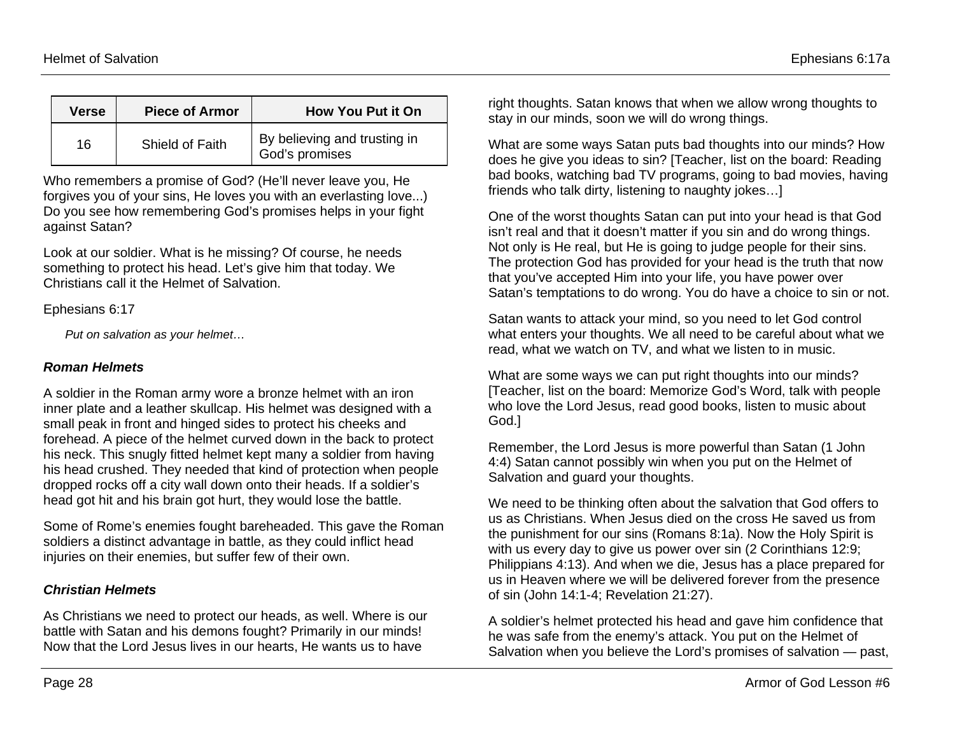| <b>Verse</b> | <b>Piece of Armor</b> | <b>How You Put it On</b>                       |
|--------------|-----------------------|------------------------------------------------|
| 16           | Shield of Faith       | By believing and trusting in<br>God's promises |

Who remembers a promise of God? (He'll never leave you, He forgives you of your sins, He loves you with an everlasting love...) Do you see how remembering God's promises helps in your fight against Satan?

Look at our soldier. What is he missing? Of course, he needs something to protect his head. Let's give him that today. We Christians call it the Helmet of Salvation.

Ephesians 6:17

*Put on salvation as your helmet…*

#### *Roman Helmets*

A soldier in the Roman army wore a bronze helmet with an iron inner plate and a leather skullcap. His helmet was designed with a small peak in front and hinged sides to protect his cheeks and forehead. A piece of the helmet curved down in the back to protect his neck. This snugly fitted helmet kept many a soldier from having his head crushed. They needed that kind of protection when people dropped rocks off a city wall down onto their heads. If a soldier's head got hit and his brain got hurt, they would lose the battle.

Some of Rome's enemies fought bareheaded. This gave the Roman soldiers a distinct advantage in battle, as they could inflict head injuries on their enemies, but suffer few of their own.

### *Christian Helmets*

As Christians we need to protect our heads, as well. Where is our battle with Satan and his demons fought? Primarily in our minds! Now that the Lord Jesus lives in our hearts, He wants us to have

right thoughts. Satan knows that when we allow wrong thoughts to stay in our minds, soon we will do wrong things.

What are some ways Satan puts bad thoughts into our minds? How does he give you ideas to sin? [Teacher, list on the board: Reading bad books, watching bad TV programs, going to bad movies, having friends who talk dirty, listening to naughty jokes…]

One of the worst thoughts Satan can put into your head is that God isn't real and that it doesn't matter if you sin and do wrong things. Not only is He real, but He is going to judge people for their sins. The protection God has provided for your head is the truth that now that you've accepted Him into your life, you have power over Satan's temptations to do wrong. You do have a choice to sin or not.

Satan wants to attack your mind, so you need to let God control what enters your thoughts. We all need to be careful about what we read, what we watch on TV, and what we listen to in music.

What are some ways we can put right thoughts into our minds? [Teacher, list on the board: Memorize God's Word, talk with people who love the Lord Jesus, read good books, listen to music about God.]

Remember, the Lord Jesus is more powerful than Satan (1 John 4:4) Satan cannot possibly win when you put on the Helmet of Salvation and guard your thoughts.

We need to be thinking often about the salvation that God offers to us as Christians. When Jesus died on the cross He saved us from the punishment for our sins (Romans 8:1a). Now the Holy Spirit is with us every day to give us power over sin (2 Corinthians 12:9; Philippians 4:13). And when we die, Jesus has a place prepared for us in Heaven where we will be delivered forever from the presence of sin (John 14:1-4; Revelation 21:27).

A soldier's helmet protected his head and gave him confidence that he was safe from the enemy's attack. You put on the Helmet of Salvation when you believe the Lord's promises of salvation — past,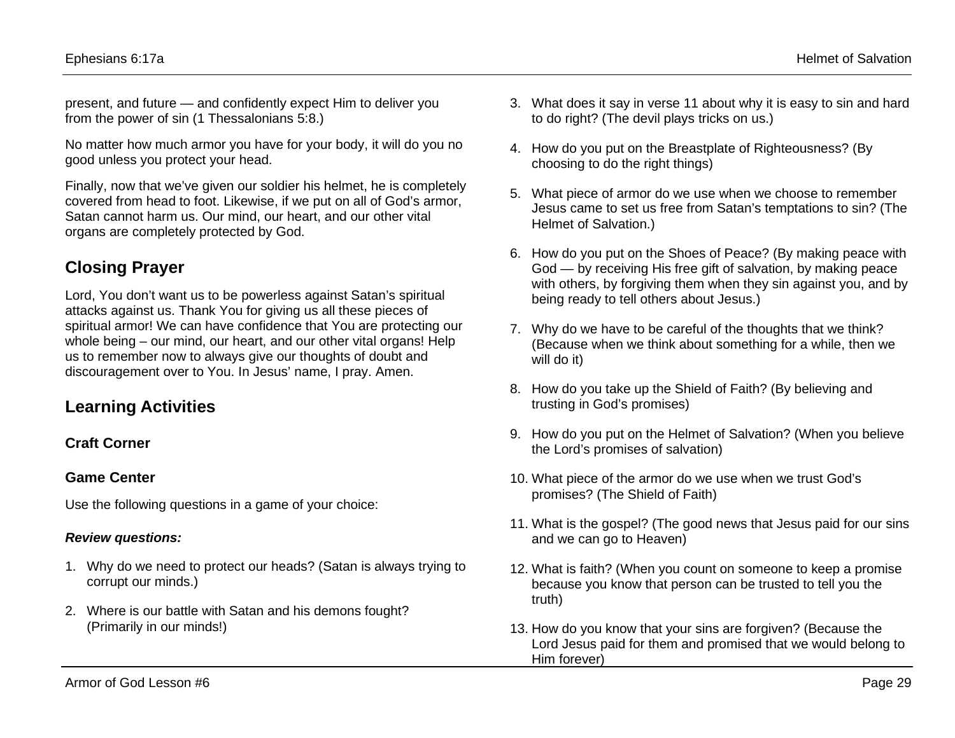present, and future — and confidently expect Him to deliver you from the power of sin (1 Thessalonians 5:8.)

No matter how much armor you have for your body, it will do you no good unless you protect your head.

Finally, now that we've given our soldier his helmet, he is completely covered from head to foot. Likewise, if we put on all of God's armor, Satan cannot harm us. Our mind, our heart, and our other vital organs are completely protected by God.

### **Closing Prayer**

Lord, You don't want us to be powerless against Satan's spiritual attacks against us. Thank You for giving us all these pieces of spiritual armor! We can have confidence that You are protecting our whole being – our mind, our heart, and our other vital organs! Help us to remember now to always give our thoughts of doubt and discouragement over to You. In Jesus' name, I pray. Amen.

### **Learning Activities**

### **Craft Corner**

#### **Game Center**

Use the following questions in a game of your choice:

#### *Review questions:*

- 1. Why do we need to protect our heads? (Satan is always trying to corrupt our minds.)
- 2. Where is our battle with Satan and his demons fought? (Primarily in our minds!)
- 3. What does it say in verse 11 about why it is easy to sin and hard to do right? (The devil plays tricks on us.)
- 4. How do you put on the Breastplate of Righteousness? (By choosing to do the right things)
- 5. What piece of armor do we use when we choose to remember Jesus came to set us free from Satan's temptations to sin? (The Helmet of Salvation.)
- 6. How do you put on the Shoes of Peace? (By making peace with God — by receiving His free gift of salvation, by making peace with others, by forgiving them when they sin against you, and by being ready to tell others about Jesus.)
- 7. Why do we have to be careful of the thoughts that we think? (Because when we think about something for a while, then we will do it)
- 8. How do you take up the Shield of Faith? (By believing and trusting in God's promises)
- 9. How do you put on the Helmet of Salvation? (When you believe the Lord's promises of salvation)
- 10. What piece of the armor do we use when we trust God's promises? (The Shield of Faith)
- 11. What is the gospel? (The good news that Jesus paid for our sins and we can go to Heaven)
- 12. What is faith? (When you count on someone to keep a promise because you know that person can be trusted to tell you the truth)
- 13. How do you know that your sins are forgiven? (Because the Lord Jesus paid for them and promised that we would belong to Him forever)